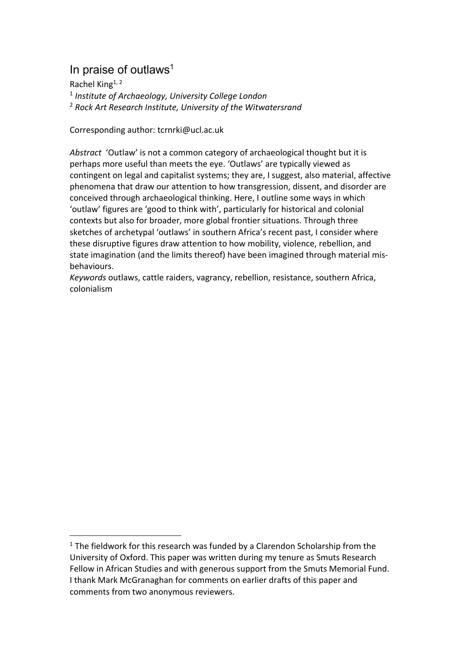# In praise of outlaws<sup>1</sup>

Rachel King<sup>1, 2</sup> <sup>1</sup> *Institute of Archaeology, University College London* <sup>2</sup> *Rock Art Research Institute, University of the Witwatersrand*

Corresponding author: tcrnrki@ucl.ac.uk

*Abstract* 'Outlaw' is not a common category of archaeological thought but it is perhaps more useful than meets the eye. 'Outlaws' are typically viewed as contingent on legal and capitalist systems; they are, I suggest, also material, affective phenomena that draw our attention to how transgression, dissent, and disorder are conceived through archaeological thinking. Here, I outline some ways in which 'outlaw' figures are 'good to think with', particularly for historical and colonial contexts but also for broader, more global frontier situations. Through three sketches of archetypal 'outlaws' in southern Africa's recent past, I consider where these disruptive figures draw attention to how mobility, violence, rebellion, and state imagination (and the limits thereof) have been imagined through material misbehaviours.

*Keywords* outlaws, cattle raiders, vagrancy, rebellion, resistance, southern Africa, colonialism

 $1$  The fieldwork for this research was funded by a Clarendon Scholarship from the University of Oxford. This paper was written during my tenure as Smuts Research Fellow in African Studies and with generous support from the Smuts Memorial Fund. I thank Mark McGranaghan for comments on earlier drafts of this paper and comments from two anonymous reviewers.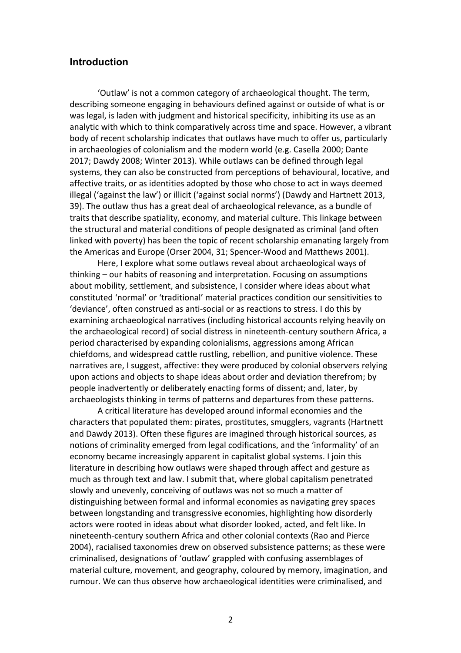## **Introduction**

'Outlaw' is not a common category of archaeological thought. The term, describing someone engaging in behaviours defined against or outside of what is or was legal, is laden with judgment and historical specificity, inhibiting its use as an analytic with which to think comparatively across time and space. However, a vibrant body of recent scholarship indicates that outlaws have much to offer us, particularly in archaeologies of colonialism and the modern world (e.g. Casella 2000; Dante 2017; Dawdy 2008; Winter 2013). While outlaws can be defined through legal systems, they can also be constructed from perceptions of behavioural, locative, and affective traits, or as identities adopted by those who chose to act in ways deemed illegal ('against the law') or illicit ('against social norms') (Dawdy and Hartnett 2013, 39). The outlaw thus has a great deal of archaeological relevance, as a bundle of traits that describe spatiality, economy, and material culture. This linkage between the structural and material conditions of people designated as criminal (and often linked with poverty) has been the topic of recent scholarship emanating largely from the Americas and Europe (Orser 2004, 31; Spencer-Wood and Matthews 2001).

Here, I explore what some outlaws reveal about archaeological ways of thinking – our habits of reasoning and interpretation. Focusing on assumptions about mobility, settlement, and subsistence, I consider where ideas about what constituted 'normal' or 'traditional' material practices condition our sensitivities to 'deviance', often construed as anti-social or as reactions to stress. I do this by examining archaeological narratives (including historical accounts relying heavily on the archaeological record) of social distress in nineteenth-century southern Africa, a period characterised by expanding colonialisms, aggressions among African chiefdoms, and widespread cattle rustling, rebellion, and punitive violence. These narratives are, I suggest, affective: they were produced by colonial observers relying upon actions and objects to shape ideas about order and deviation therefrom; by people inadvertently or deliberately enacting forms of dissent; and, later, by archaeologists thinking in terms of patterns and departures from these patterns.

A critical literature has developed around informal economies and the characters that populated them: pirates, prostitutes, smugglers, vagrants (Hartnett and Dawdy 2013). Often these figures are imagined through historical sources, as notions of criminality emerged from legal codifications, and the 'informality' of an economy became increasingly apparent in capitalist global systems. I join this literature in describing how outlaws were shaped through affect and gesture as much as through text and law. I submit that, where global capitalism penetrated slowly and unevenly, conceiving of outlaws was not so much a matter of distinguishing between formal and informal economies as navigating grey spaces between longstanding and transgressive economies, highlighting how disorderly actors were rooted in ideas about what disorder looked, acted, and felt like. In nineteenth-century southern Africa and other colonial contexts (Rao and Pierce 2004), racialised taxonomies drew on observed subsistence patterns; as these were criminalised, designations of 'outlaw' grappled with confusing assemblages of material culture, movement, and geography, coloured by memory, imagination, and rumour. We can thus observe how archaeological identities were criminalised, and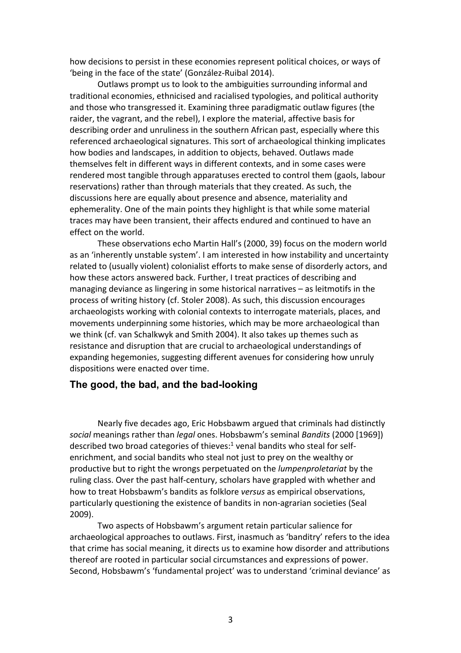how decisions to persist in these economies represent political choices, or ways of 'being in the face of the state' (González-Ruibal 2014).

Outlaws prompt us to look to the ambiguities surrounding informal and traditional economies, ethnicised and racialised typologies, and political authority and those who transgressed it. Examining three paradigmatic outlaw figures (the raider, the vagrant, and the rebel), I explore the material, affective basis for describing order and unruliness in the southern African past, especially where this referenced archaeological signatures. This sort of archaeological thinking implicates how bodies and landscapes, in addition to objects, behaved. Outlaws made themselves felt in different ways in different contexts, and in some cases were rendered most tangible through apparatuses erected to control them (gaols, labour reservations) rather than through materials that they created. As such, the discussions here are equally about presence and absence, materiality and ephemerality. One of the main points they highlight is that while some material traces may have been transient, their affects endured and continued to have an effect on the world.

These observations echo Martin Hall's (2000, 39) focus on the modern world as an 'inherently unstable system'. I am interested in how instability and uncertainty related to (usually violent) colonialist efforts to make sense of disorderly actors, and how these actors answered back. Further, I treat practices of describing and managing deviance as lingering in some historical narratives – as leitmotifs in the process of writing history (cf. Stoler 2008). As such, this discussion encourages archaeologists working with colonial contexts to interrogate materials, places, and movements underpinning some histories, which may be more archaeological than we think (cf. van Schalkwyk and Smith 2004). It also takes up themes such as resistance and disruption that are crucial to archaeological understandings of expanding hegemonies, suggesting different avenues for considering how unruly dispositions were enacted over time.

#### **The good, the bad, and the bad-looking**

Nearly five decades ago, Eric Hobsbawm argued that criminals had distinctly *social* meanings rather than *legal* ones. Hobsbawm's seminal *Bandits* (2000 [1969]) described two broad categories of thieves:1 venal bandits who steal for selfenrichment, and social bandits who steal not just to prey on the wealthy or productive but to right the wrongs perpetuated on the *lumpenproletariat* by the ruling class. Over the past half-century, scholars have grappled with whether and how to treat Hobsbawm's bandits as folklore *versus* as empirical observations, particularly questioning the existence of bandits in non-agrarian societies (Seal 2009).

Two aspects of Hobsbawm's argument retain particular salience for archaeological approaches to outlaws. First, inasmuch as 'banditry' refers to the idea that crime has social meaning, it directs us to examine how disorder and attributions thereof are rooted in particular social circumstances and expressions of power. Second, Hobsbawm's 'fundamental project' was to understand 'criminal deviance' as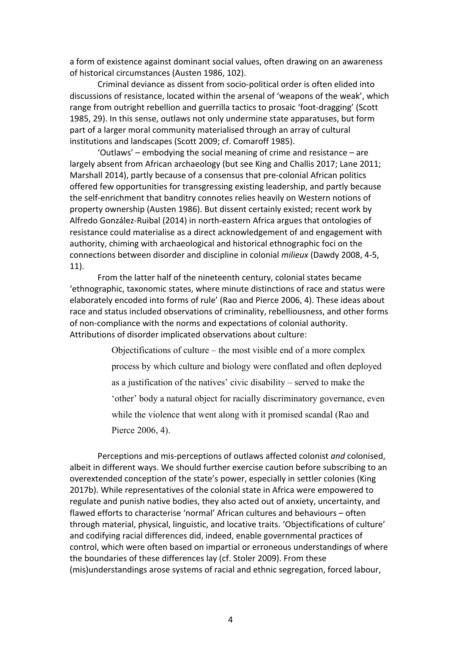a form of existence against dominant social values, often drawing on an awareness of historical circumstances (Austen 1986, 102).

Criminal deviance as dissent from socio-political order is often elided into discussions of resistance, located within the arsenal of 'weapons of the weak', which range from outright rebellion and guerrilla tactics to prosaic 'foot-dragging' (Scott 1985, 29). In this sense, outlaws not only undermine state apparatuses, but form part of a larger moral community materialised through an array of cultural institutions and landscapes (Scott 2009; cf. Comaroff 1985).

'Outlaws' – embodying the social meaning of crime and resistance – are largely absent from African archaeology (but see King and Challis 2017; Lane 2011; Marshall 2014), partly because of a consensus that pre-colonial African politics offered few opportunities for transgressing existing leadership, and partly because the self-enrichment that banditry connotes relies heavily on Western notions of property ownership (Austen 1986). But dissent certainly existed; recent work by Alfredo González-Ruibal (2014) in north-eastern Africa argues that ontologies of resistance could materialise as a direct acknowledgement of and engagement with authority, chiming with archaeological and historical ethnographic foci on the connections between disorder and discipline in colonial *milieux* (Dawdy 2008, 4-5, 11).

From the latter half of the nineteenth century, colonial states became 'ethnographic, taxonomic states, where minute distinctions of race and status were elaborately encoded into forms of rule' (Rao and Pierce 2006, 4). These ideas about race and status included observations of criminality, rebelliousness, and other forms of non-compliance with the norms and expectations of colonial authority. Attributions of disorder implicated observations about culture:

> Objectifications of culture – the most visible end of a more complex process by which culture and biology were conflated and often deployed as a justification of the natives' civic disability – served to make the 'other' body a natural object for racially discriminatory governance, even while the violence that went along with it promised scandal (Rao and Pierce 2006, 4).

Perceptions and mis-perceptions of outlaws affected colonist *and* colonised, albeit in different ways. We should further exercise caution before subscribing to an overextended conception of the state's power, especially in settler colonies (King 2017b). While representatives of the colonial state in Africa were empowered to regulate and punish native bodies, they also acted out of anxiety, uncertainty, and flawed efforts to characterise 'normal' African cultures and behaviours – often through material, physical, linguistic, and locative traits. 'Objectifications of culture' and codifying racial differences did, indeed, enable governmental practices of control, which were often based on impartial or erroneous understandings of where the boundaries of these differences lay (cf. Stoler 2009). From these (mis)understandings arose systems of racial and ethnic segregation, forced labour,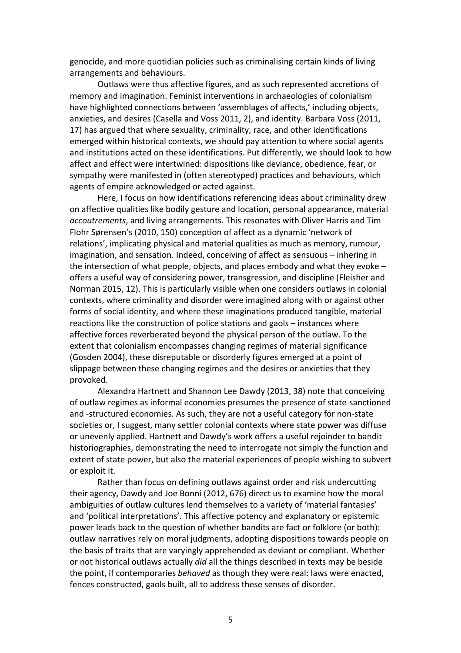genocide, and more quotidian policies such as criminalising certain kinds of living arrangements and behaviours.

Outlaws were thus affective figures, and as such represented accretions of memory and imagination. Feminist interventions in archaeologies of colonialism have highlighted connections between 'assemblages of affects,' including objects, anxieties, and desires (Casella and Voss 2011, 2), and identity. Barbara Voss (2011, 17) has argued that where sexuality, criminality, race, and other identifications emerged within historical contexts, we should pay attention to where social agents and institutions acted on these identifications. Put differently, we should look to how affect and effect were intertwined: dispositions like deviance, obedience, fear, or sympathy were manifested in (often stereotyped) practices and behaviours, which agents of empire acknowledged or acted against.

Here, I focus on how identifications referencing ideas about criminality drew on affective qualities like bodily gesture and location, personal appearance, material *accoutrements*, and living arrangements. This resonates with Oliver Harris and Tim Flohr Sørensen's (2010, 150) conception of affect as a dynamic 'network of relations', implicating physical and material qualities as much as memory, rumour, imagination, and sensation. Indeed, conceiving of affect as sensuous – inhering in the intersection of what people, objects, and places embody and what they evoke – offers a useful way of considering power, transgression, and discipline (Fleisher and Norman 2015, 12). This is particularly visible when one considers outlaws in colonial contexts, where criminality and disorder were imagined along with or against other forms of social identity, and where these imaginations produced tangible, material reactions like the construction of police stations and gaols – instances where affective forces reverberated beyond the physical person of the outlaw. To the extent that colonialism encompasses changing regimes of material significance (Gosden 2004), these disreputable or disorderly figures emerged at a point of slippage between these changing regimes and the desires or anxieties that they provoked.

Alexandra Hartnett and Shannon Lee Dawdy (2013, 38) note that conceiving of outlaw regimes as informal economies presumes the presence of state-sanctioned and -structured economies. As such, they are not a useful category for non-state societies or, I suggest, many settler colonial contexts where state power was diffuse or unevenly applied. Hartnett and Dawdy's work offers a useful rejoinder to bandit historiographies, demonstrating the need to interrogate not simply the function and extent of state power, but also the material experiences of people wishing to subvert or exploit it.

Rather than focus on defining outlaws against order and risk undercutting their agency, Dawdy and Joe Bonni (2012, 676) direct us to examine how the moral ambiguities of outlaw cultures lend themselves to a variety of 'material fantasies' and 'political interpretations'. This affective potency and explanatory or epistemic power leads back to the question of whether bandits are fact or folklore (or both): outlaw narratives rely on moral judgments, adopting dispositions towards people on the basis of traits that are varyingly apprehended as deviant or compliant. Whether or not historical outlaws actually *did* all the things described in texts may be beside the point, if contemporaries *behaved* as though they were real: laws were enacted, fences constructed, gaols built, all to address these senses of disorder.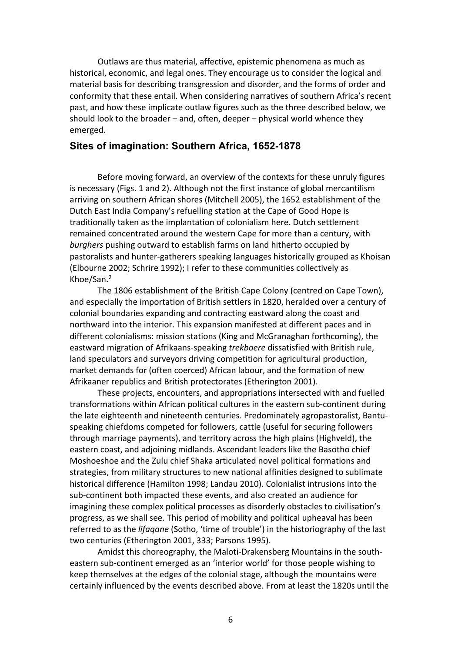Outlaws are thus material, affective, epistemic phenomena as much as historical, economic, and legal ones. They encourage us to consider the logical and material basis for describing transgression and disorder, and the forms of order and conformity that these entail. When considering narratives of southern Africa's recent past, and how these implicate outlaw figures such as the three described below, we should look to the broader – and, often, deeper – physical world whence they emerged.

## **Sites of imagination: Southern Africa, 1652-1878**

Before moving forward, an overview of the contexts for these unruly figures is necessary (Figs. 1 and 2). Although not the first instance of global mercantilism arriving on southern African shores (Mitchell 2005), the 1652 establishment of the Dutch East India Company's refuelling station at the Cape of Good Hope is traditionally taken as the implantation of colonialism here. Dutch settlement remained concentrated around the western Cape for more than a century, with *burghers* pushing outward to establish farms on land hitherto occupied by pastoralists and hunter-gatherers speaking languages historically grouped as Khoisan (Elbourne 2002; Schrire 1992); I refer to these communities collectively as Khoe/San. 2

The 1806 establishment of the British Cape Colony (centred on Cape Town), and especially the importation of British settlers in 1820, heralded over a century of colonial boundaries expanding and contracting eastward along the coast and northward into the interior. This expansion manifested at different paces and in different colonialisms: mission stations (King and McGranaghan forthcoming), the eastward migration of Afrikaans-speaking *trekboere* dissatisfied with British rule, land speculators and surveyors driving competition for agricultural production, market demands for (often coerced) African labour, and the formation of new Afrikaaner republics and British protectorates (Etherington 2001).

These projects, encounters, and appropriations intersected with and fuelled transformations within African political cultures in the eastern sub-continent during the late eighteenth and nineteenth centuries. Predominately agropastoralist, Bantuspeaking chiefdoms competed for followers, cattle (useful for securing followers through marriage payments), and territory across the high plains (Highveld), the eastern coast, and adjoining midlands. Ascendant leaders like the Basotho chief Moshoeshoe and the Zulu chief Shaka articulated novel political formations and strategies, from military structures to new national affinities designed to sublimate historical difference (Hamilton 1998; Landau 2010). Colonialist intrusions into the sub-continent both impacted these events, and also created an audience for imagining these complex political processes as disorderly obstacles to civilisation's progress, as we shall see. This period of mobility and political upheaval has been referred to as the *lifaqane* (Sotho, 'time of trouble') in the historiography of the last two centuries (Etherington 2001, 333; Parsons 1995).

Amidst this choreography, the Maloti-Drakensberg Mountains in the southeastern sub-continent emerged as an 'interior world' for those people wishing to keep themselves at the edges of the colonial stage, although the mountains were certainly influenced by the events described above. From at least the 1820s until the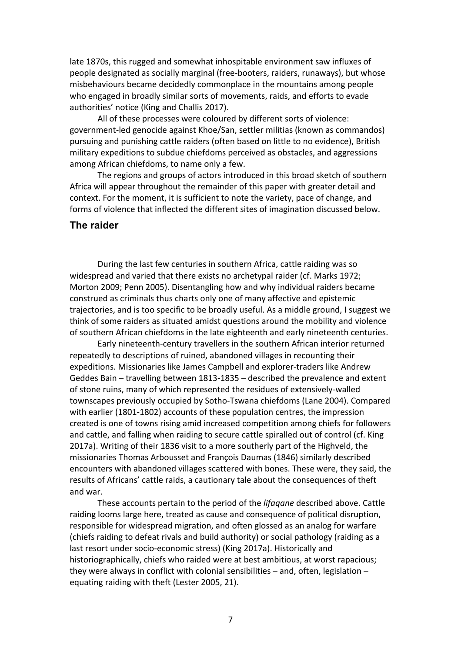late 1870s, this rugged and somewhat inhospitable environment saw influxes of people designated as socially marginal (free-booters, raiders, runaways), but whose misbehaviours became decidedly commonplace in the mountains among people who engaged in broadly similar sorts of movements, raids, and efforts to evade authorities' notice (King and Challis 2017).

All of these processes were coloured by different sorts of violence: government-led genocide against Khoe/San, settler militias (known as commandos) pursuing and punishing cattle raiders (often based on little to no evidence), British military expeditions to subdue chiefdoms perceived as obstacles, and aggressions among African chiefdoms, to name only a few.

The regions and groups of actors introduced in this broad sketch of southern Africa will appear throughout the remainder of this paper with greater detail and context. For the moment, it is sufficient to note the variety, pace of change, and forms of violence that inflected the different sites of imagination discussed below.

### **The raider**

During the last few centuries in southern Africa, cattle raiding was so widespread and varied that there exists no archetypal raider (cf. Marks 1972; Morton 2009; Penn 2005). Disentangling how and why individual raiders became construed as criminals thus charts only one of many affective and epistemic trajectories, and is too specific to be broadly useful. As a middle ground, I suggest we think of some raiders as situated amidst questions around the mobility and violence of southern African chiefdoms in the late eighteenth and early nineteenth centuries.

Early nineteenth-century travellers in the southern African interior returned repeatedly to descriptions of ruined, abandoned villages in recounting their expeditions. Missionaries like James Campbell and explorer-traders like Andrew Geddes Bain – travelling between 1813-1835 – described the prevalence and extent of stone ruins, many of which represented the residues of extensively-walled townscapes previously occupied by Sotho-Tswana chiefdoms (Lane 2004). Compared with earlier (1801-1802) accounts of these population centres, the impression created is one of towns rising amid increased competition among chiefs for followers and cattle, and falling when raiding to secure cattle spiralled out of control (cf. King 2017a). Writing of their 1836 visit to a more southerly part of the Highveld, the missionaries Thomas Arbousset and François Daumas (1846) similarly described encounters with abandoned villages scattered with bones. These were, they said, the results of Africans' cattle raids, a cautionary tale about the consequences of theft and war.

These accounts pertain to the period of the *lifaqane* described above. Cattle raiding looms large here, treated as cause and consequence of political disruption, responsible for widespread migration, and often glossed as an analog for warfare (chiefs raiding to defeat rivals and build authority) or social pathology (raiding as a last resort under socio-economic stress) (King 2017a). Historically and historiographically, chiefs who raided were at best ambitious, at worst rapacious; they were always in conflict with colonial sensibilities – and, often, legislation – equating raiding with theft (Lester 2005, 21).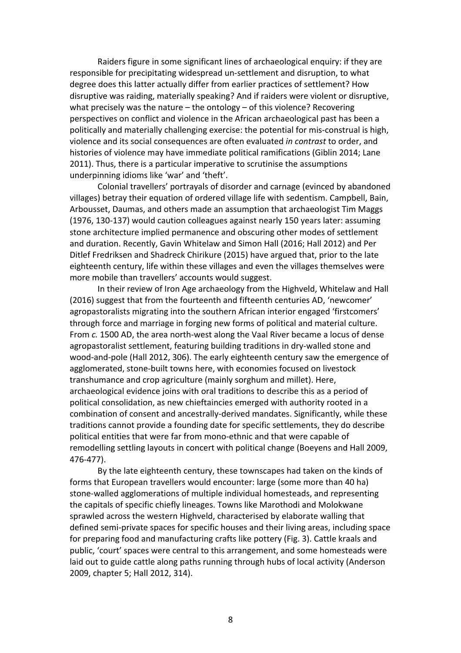Raiders figure in some significant lines of archaeological enquiry: if they are responsible for precipitating widespread un-settlement and disruption, to what degree does this latter actually differ from earlier practices of settlement? How disruptive was raiding, materially speaking? And if raiders were violent or disruptive, what precisely was the nature – the ontology – of this violence? Recovering perspectives on conflict and violence in the African archaeological past has been a politically and materially challenging exercise: the potential for mis-construal is high, violence and its social consequences are often evaluated *in contrast* to order, and histories of violence may have immediate political ramifications (Giblin 2014; Lane 2011). Thus, there is a particular imperative to scrutinise the assumptions underpinning idioms like 'war' and 'theft'.

Colonial travellers' portrayals of disorder and carnage (evinced by abandoned villages) betray their equation of ordered village life with sedentism. Campbell, Bain, Arbousset, Daumas, and others made an assumption that archaeologist Tim Maggs (1976, 130-137) would caution colleagues against nearly 150 years later: assuming stone architecture implied permanence and obscuring other modes of settlement and duration. Recently, Gavin Whitelaw and Simon Hall (2016; Hall 2012) and Per Ditlef Fredriksen and Shadreck Chirikure (2015) have argued that, prior to the late eighteenth century, life within these villages and even the villages themselves were more mobile than travellers' accounts would suggest.

In their review of Iron Age archaeology from the Highveld, Whitelaw and Hall (2016) suggest that from the fourteenth and fifteenth centuries AD, 'newcomer' agropastoralists migrating into the southern African interior engaged 'firstcomers' through force and marriage in forging new forms of political and material culture. From *c.* 1500 AD, the area north-west along the Vaal River became a locus of dense agropastoralist settlement, featuring building traditions in dry-walled stone and wood-and-pole (Hall 2012, 306). The early eighteenth century saw the emergence of agglomerated, stone-built towns here, with economies focused on livestock transhumance and crop agriculture (mainly sorghum and millet). Here, archaeological evidence joins with oral traditions to describe this as a period of political consolidation, as new chieftaincies emerged with authority rooted in a combination of consent and ancestrally-derived mandates. Significantly, while these traditions cannot provide a founding date for specific settlements, they do describe political entities that were far from mono-ethnic and that were capable of remodelling settling layouts in concert with political change (Boeyens and Hall 2009, 476-477).

By the late eighteenth century, these townscapes had taken on the kinds of forms that European travellers would encounter: large (some more than 40 ha) stone-walled agglomerations of multiple individual homesteads, and representing the capitals of specific chiefly lineages. Towns like Marothodi and Molokwane sprawled across the western Highveld, characterised by elaborate walling that defined semi-private spaces for specific houses and their living areas, including space for preparing food and manufacturing crafts like pottery (Fig. 3). Cattle kraals and public, 'court' spaces were central to this arrangement, and some homesteads were laid out to guide cattle along paths running through hubs of local activity (Anderson 2009, chapter 5; Hall 2012, 314).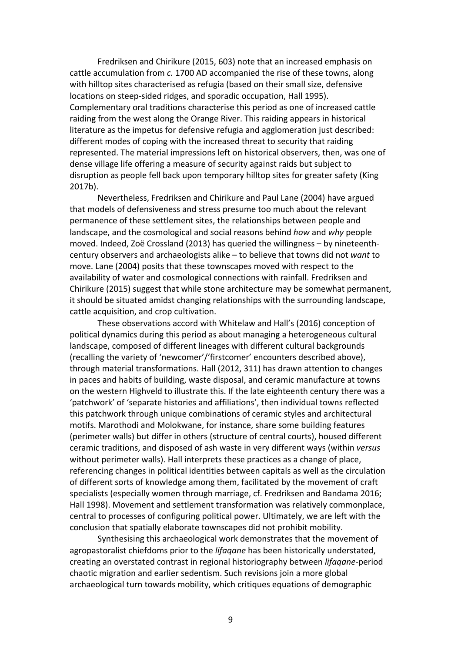Fredriksen and Chirikure (2015, 603) note that an increased emphasis on cattle accumulation from *c.* 1700 AD accompanied the rise of these towns, along with hilltop sites characterised as refugia (based on their small size, defensive locations on steep-sided ridges, and sporadic occupation, Hall 1995). Complementary oral traditions characterise this period as one of increased cattle raiding from the west along the Orange River. This raiding appears in historical literature as the impetus for defensive refugia and agglomeration just described: different modes of coping with the increased threat to security that raiding represented. The material impressions left on historical observers, then, was one of dense village life offering a measure of security against raids but subject to disruption as people fell back upon temporary hilltop sites for greater safety (King 2017b).

Nevertheless, Fredriksen and Chirikure and Paul Lane (2004) have argued that models of defensiveness and stress presume too much about the relevant permanence of these settlement sites, the relationships between people and landscape, and the cosmological and social reasons behind *how* and *why* people moved. Indeed, Zoë Crossland (2013) has queried the willingness – by nineteenthcentury observers and archaeologists alike – to believe that towns did not *want* to move. Lane (2004) posits that these townscapes moved with respect to the availability of water and cosmological connections with rainfall. Fredriksen and Chirikure (2015) suggest that while stone architecture may be somewhat permanent, it should be situated amidst changing relationships with the surrounding landscape, cattle acquisition, and crop cultivation.

These observations accord with Whitelaw and Hall's (2016) conception of political dynamics during this period as about managing a heterogeneous cultural landscape, composed of different lineages with different cultural backgrounds (recalling the variety of 'newcomer'/'firstcomer' encounters described above), through material transformations. Hall (2012, 311) has drawn attention to changes in paces and habits of building, waste disposal, and ceramic manufacture at towns on the western Highveld to illustrate this. If the late eighteenth century there was a 'patchwork' of 'separate histories and affiliations', then individual towns reflected this patchwork through unique combinations of ceramic styles and architectural motifs. Marothodi and Molokwane, for instance, share some building features (perimeter walls) but differ in others (structure of central courts), housed different ceramic traditions, and disposed of ash waste in very different ways (within *versus* without perimeter walls). Hall interprets these practices as a change of place, referencing changes in political identities between capitals as well as the circulation of different sorts of knowledge among them, facilitated by the movement of craft specialists (especially women through marriage, cf. Fredriksen and Bandama 2016; Hall 1998). Movement and settlement transformation was relatively commonplace, central to processes of configuring political power. Ultimately, we are left with the conclusion that spatially elaborate townscapes did not prohibit mobility.

Synthesising this archaeological work demonstrates that the movement of agropastoralist chiefdoms prior to the *lifaqane* has been historically understated, creating an overstated contrast in regional historiography between *lifaqane*-period chaotic migration and earlier sedentism. Such revisions join a more global archaeological turn towards mobility, which critiques equations of demographic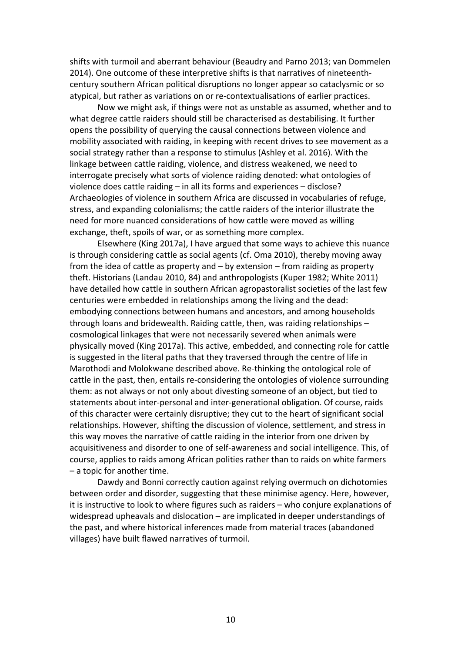shifts with turmoil and aberrant behaviour (Beaudry and Parno 2013; van Dommelen 2014). One outcome of these interpretive shifts is that narratives of nineteenthcentury southern African political disruptions no longer appear so cataclysmic or so atypical, but rather as variations on or re-contextualisations of earlier practices.

Now we might ask, if things were not as unstable as assumed, whether and to what degree cattle raiders should still be characterised as destabilising. It further opens the possibility of querying the causal connections between violence and mobility associated with raiding, in keeping with recent drives to see movement as a social strategy rather than a response to stimulus (Ashley et al. 2016). With the linkage between cattle raiding, violence, and distress weakened, we need to interrogate precisely what sorts of violence raiding denoted: what ontologies of violence does cattle raiding – in all its forms and experiences – disclose? Archaeologies of violence in southern Africa are discussed in vocabularies of refuge, stress, and expanding colonialisms; the cattle raiders of the interior illustrate the need for more nuanced considerations of how cattle were moved as willing exchange, theft, spoils of war, or as something more complex.

Elsewhere (King 2017a), I have argued that some ways to achieve this nuance is through considering cattle as social agents (cf. Oma 2010), thereby moving away from the idea of cattle as property and – by extension – from raiding as property theft. Historians (Landau 2010, 84) and anthropologists (Kuper 1982; White 2011) have detailed how cattle in southern African agropastoralist societies of the last few centuries were embedded in relationships among the living and the dead: embodying connections between humans and ancestors, and among households through loans and bridewealth. Raiding cattle, then, was raiding relationships – cosmological linkages that were not necessarily severed when animals were physically moved (King 2017a). This active, embedded, and connecting role for cattle is suggested in the literal paths that they traversed through the centre of life in Marothodi and Molokwane described above. Re-thinking the ontological role of cattle in the past, then, entails re-considering the ontologies of violence surrounding them: as not always or not only about divesting someone of an object, but tied to statements about inter-personal and inter-generational obligation. Of course, raids of this character were certainly disruptive; they cut to the heart of significant social relationships. However, shifting the discussion of violence, settlement, and stress in this way moves the narrative of cattle raiding in the interior from one driven by acquisitiveness and disorder to one of self-awareness and social intelligence. This, of course, applies to raids among African polities rather than to raids on white farmers – a topic for another time.

Dawdy and Bonni correctly caution against relying overmuch on dichotomies between order and disorder, suggesting that these minimise agency. Here, however, it is instructive to look to where figures such as raiders – who conjure explanations of widespread upheavals and dislocation – are implicated in deeper understandings of the past, and where historical inferences made from material traces (abandoned villages) have built flawed narratives of turmoil.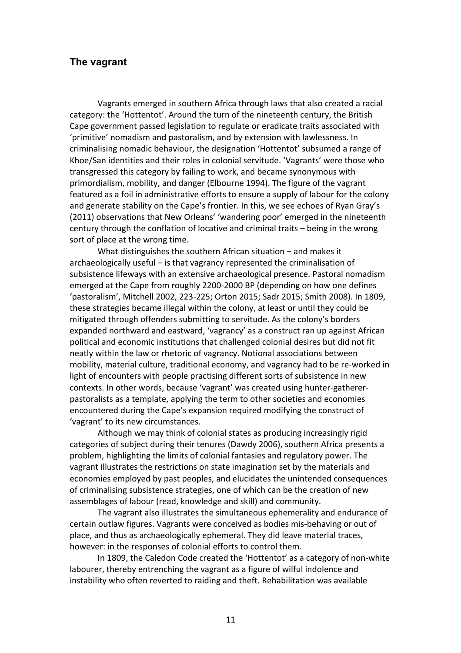## **The vagrant**

Vagrants emerged in southern Africa through laws that also created a racial category: the 'Hottentot'. Around the turn of the nineteenth century, the British Cape government passed legislation to regulate or eradicate traits associated with 'primitive' nomadism and pastoralism, and by extension with lawlessness. In criminalising nomadic behaviour, the designation 'Hottentot' subsumed a range of Khoe/San identities and their roles in colonial servitude. 'Vagrants' were those who transgressed this category by failing to work, and became synonymous with primordialism, mobility, and danger (Elbourne 1994). The figure of the vagrant featured as a foil in administrative efforts to ensure a supply of labour for the colony and generate stability on the Cape's frontier. In this, we see echoes of Ryan Gray's (2011) observations that New Orleans' 'wandering poor' emerged in the nineteenth century through the conflation of locative and criminal traits – being in the wrong sort of place at the wrong time.

What distinguishes the southern African situation – and makes it archaeologically useful – is that vagrancy represented the criminalisation of subsistence lifeways with an extensive archaeological presence. Pastoral nomadism emerged at the Cape from roughly 2200-2000 BP (depending on how one defines 'pastoralism', Mitchell 2002, 223-225; Orton 2015; Sadr 2015; Smith 2008). In 1809, these strategies became illegal within the colony, at least or until they could be mitigated through offenders submitting to servitude. As the colony's borders expanded northward and eastward, 'vagrancy' as a construct ran up against African political and economic institutions that challenged colonial desires but did not fit neatly within the law or rhetoric of vagrancy. Notional associations between mobility, material culture, traditional economy, and vagrancy had to be re-worked in light of encounters with people practising different sorts of subsistence in new contexts. In other words, because 'vagrant' was created using hunter-gathererpastoralists as a template, applying the term to other societies and economies encountered during the Cape's expansion required modifying the construct of 'vagrant' to its new circumstances.

Although we may think of colonial states as producing increasingly rigid categories of subject during their tenures (Dawdy 2006), southern Africa presents a problem, highlighting the limits of colonial fantasies and regulatory power. The vagrant illustrates the restrictions on state imagination set by the materials and economies employed by past peoples, and elucidates the unintended consequences of criminalising subsistence strategies, one of which can be the creation of new assemblages of labour (read, knowledge and skill) and community.

The vagrant also illustrates the simultaneous ephemerality and endurance of certain outlaw figures. Vagrants were conceived as bodies mis-behaving or out of place, and thus as archaeologically ephemeral. They did leave material traces, however: in the responses of colonial efforts to control them.

In 1809, the Caledon Code created the 'Hottentot' as a category of non-white labourer, thereby entrenching the vagrant as a figure of wilful indolence and instability who often reverted to raiding and theft. Rehabilitation was available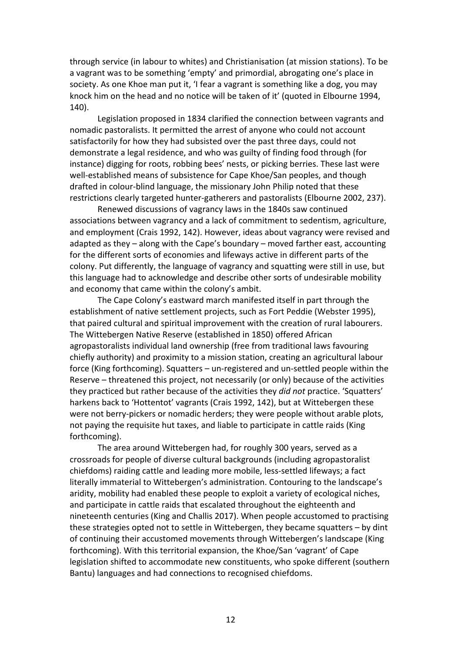through service (in labour to whites) and Christianisation (at mission stations). To be a vagrant was to be something 'empty' and primordial, abrogating one's place in society. As one Khoe man put it, 'I fear a vagrant is something like a dog, you may knock him on the head and no notice will be taken of it' (quoted in Elbourne 1994, 140).

Legislation proposed in 1834 clarified the connection between vagrants and nomadic pastoralists. It permitted the arrest of anyone who could not account satisfactorily for how they had subsisted over the past three days, could not demonstrate a legal residence, and who was guilty of finding food through (for instance) digging for roots, robbing bees' nests, or picking berries. These last were well-established means of subsistence for Cape Khoe/San peoples, and though drafted in colour-blind language, the missionary John Philip noted that these restrictions clearly targeted hunter-gatherers and pastoralists (Elbourne 2002, 237).

Renewed discussions of vagrancy laws in the 1840s saw continued associations between vagrancy and a lack of commitment to sedentism, agriculture, and employment (Crais 1992, 142). However, ideas about vagrancy were revised and adapted as they – along with the Cape's boundary – moved farther east, accounting for the different sorts of economies and lifeways active in different parts of the colony. Put differently, the language of vagrancy and squatting were still in use, but this language had to acknowledge and describe other sorts of undesirable mobility and economy that came within the colony's ambit.

The Cape Colony's eastward march manifested itself in part through the establishment of native settlement projects, such as Fort Peddie (Webster 1995), that paired cultural and spiritual improvement with the creation of rural labourers. The Wittebergen Native Reserve (established in 1850) offered African agropastoralists individual land ownership (free from traditional laws favouring chiefly authority) and proximity to a mission station, creating an agricultural labour force (King forthcoming). Squatters – un-registered and un-settled people within the Reserve – threatened this project, not necessarily (or only) because of the activities they practiced but rather because of the activities they *did not* practice. 'Squatters' harkens back to 'Hottentot' vagrants (Crais 1992, 142), but at Wittebergen these were not berry-pickers or nomadic herders; they were people without arable plots, not paying the requisite hut taxes, and liable to participate in cattle raids (King forthcoming).

The area around Wittebergen had, for roughly 300 years, served as a crossroads for people of diverse cultural backgrounds (including agropastoralist chiefdoms) raiding cattle and leading more mobile, less-settled lifeways; a fact literally immaterial to Wittebergen's administration. Contouring to the landscape's aridity, mobility had enabled these people to exploit a variety of ecological niches, and participate in cattle raids that escalated throughout the eighteenth and nineteenth centuries (King and Challis 2017). When people accustomed to practising these strategies opted not to settle in Wittebergen, they became squatters – by dint of continuing their accustomed movements through Wittebergen's landscape (King forthcoming). With this territorial expansion, the Khoe/San 'vagrant' of Cape legislation shifted to accommodate new constituents, who spoke different (southern Bantu) languages and had connections to recognised chiefdoms.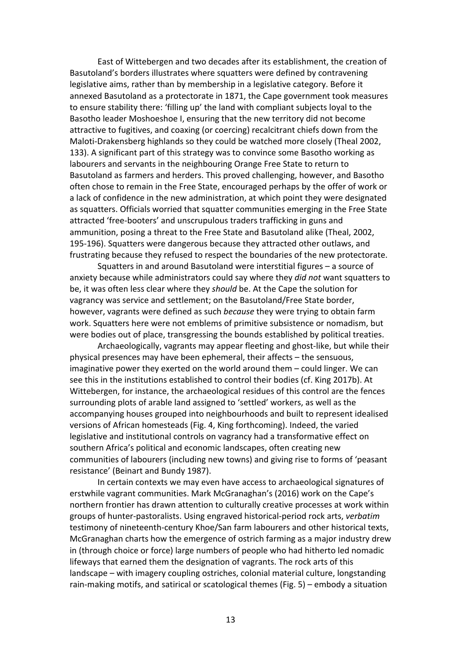East of Wittebergen and two decades after its establishment, the creation of Basutoland's borders illustrates where squatters were defined by contravening legislative aims, rather than by membership in a legislative category. Before it annexed Basutoland as a protectorate in 1871, the Cape government took measures to ensure stability there: 'filling up' the land with compliant subjects loyal to the Basotho leader Moshoeshoe I, ensuring that the new territory did not become attractive to fugitives, and coaxing (or coercing) recalcitrant chiefs down from the Maloti-Drakensberg highlands so they could be watched more closely (Theal 2002, 133). A significant part of this strategy was to convince some Basotho working as labourers and servants in the neighbouring Orange Free State to return to Basutoland as farmers and herders. This proved challenging, however, and Basotho often chose to remain in the Free State, encouraged perhaps by the offer of work or a lack of confidence in the new administration, at which point they were designated as squatters. Officials worried that squatter communities emerging in the Free State attracted 'free-booters' and unscrupulous traders trafficking in guns and ammunition, posing a threat to the Free State and Basutoland alike (Theal, 2002, 195-196). Squatters were dangerous because they attracted other outlaws, and frustrating because they refused to respect the boundaries of the new protectorate.

Squatters in and around Basutoland were interstitial figures – a source of anxiety because while administrators could say where they *did not* want squatters to be, it was often less clear where they *should* be. At the Cape the solution for vagrancy was service and settlement; on the Basutoland/Free State border, however, vagrants were defined as such *because* they were trying to obtain farm work. Squatters here were not emblems of primitive subsistence or nomadism, but were bodies out of place, transgressing the bounds established by political treaties.

Archaeologically, vagrants may appear fleeting and ghost-like, but while their physical presences may have been ephemeral, their affects – the sensuous, imaginative power they exerted on the world around them – could linger. We can see this in the institutions established to control their bodies (cf. King 2017b). At Wittebergen, for instance, the archaeological residues of this control are the fences surrounding plots of arable land assigned to 'settled' workers, as well as the accompanying houses grouped into neighbourhoods and built to represent idealised versions of African homesteads (Fig. 4, King forthcoming). Indeed, the varied legislative and institutional controls on vagrancy had a transformative effect on southern Africa's political and economic landscapes, often creating new communities of labourers (including new towns) and giving rise to forms of 'peasant resistance' (Beinart and Bundy 1987).

In certain contexts we may even have access to archaeological signatures of erstwhile vagrant communities. Mark McGranaghan's (2016) work on the Cape's northern frontier has drawn attention to culturally creative processes at work within groups of hunter-pastoralists. Using engraved historical-period rock arts, *verbatim* testimony of nineteenth-century Khoe/San farm labourers and other historical texts, McGranaghan charts how the emergence of ostrich farming as a major industry drew in (through choice or force) large numbers of people who had hitherto led nomadic lifeways that earned them the designation of vagrants. The rock arts of this landscape – with imagery coupling ostriches, colonial material culture, longstanding rain-making motifs, and satirical or scatological themes (Fig. 5) – embody a situation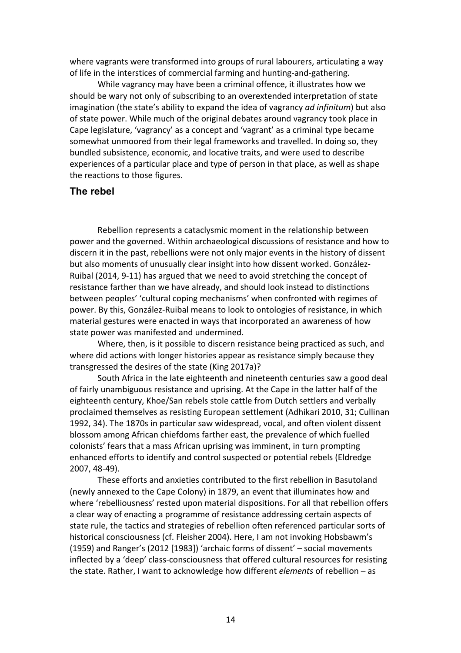where vagrants were transformed into groups of rural labourers, articulating a way of life in the interstices of commercial farming and hunting-and-gathering.

While vagrancy may have been a criminal offence, it illustrates how we should be wary not only of subscribing to an overextended interpretation of state imagination (the state's ability to expand the idea of vagrancy *ad infinitum*) but also of state power. While much of the original debates around vagrancy took place in Cape legislature, 'vagrancy' as a concept and 'vagrant' as a criminal type became somewhat unmoored from their legal frameworks and travelled. In doing so, they bundled subsistence, economic, and locative traits, and were used to describe experiences of a particular place and type of person in that place, as well as shape the reactions to those figures.

## **The rebel**

Rebellion represents a cataclysmic moment in the relationship between power and the governed. Within archaeological discussions of resistance and how to discern it in the past, rebellions were not only major events in the history of dissent but also moments of unusually clear insight into how dissent worked. González-Ruibal (2014, 9-11) has argued that we need to avoid stretching the concept of resistance farther than we have already, and should look instead to distinctions between peoples' 'cultural coping mechanisms' when confronted with regimes of power. By this, González-Ruibal means to look to ontologies of resistance, in which material gestures were enacted in ways that incorporated an awareness of how state power was manifested and undermined.

Where, then, is it possible to discern resistance being practiced as such, and where did actions with longer histories appear as resistance simply because they transgressed the desires of the state (King 2017a)?

South Africa in the late eighteenth and nineteenth centuries saw a good deal of fairly unambiguous resistance and uprising. At the Cape in the latter half of the eighteenth century, Khoe/San rebels stole cattle from Dutch settlers and verbally proclaimed themselves as resisting European settlement (Adhikari 2010, 31; Cullinan 1992, 34). The 1870s in particular saw widespread, vocal, and often violent dissent blossom among African chiefdoms farther east, the prevalence of which fuelled colonists' fears that a mass African uprising was imminent, in turn prompting enhanced efforts to identify and control suspected or potential rebels (Eldredge 2007, 48-49).

These efforts and anxieties contributed to the first rebellion in Basutoland (newly annexed to the Cape Colony) in 1879, an event that illuminates how and where 'rebelliousness' rested upon material dispositions. For all that rebellion offers a clear way of enacting a programme of resistance addressing certain aspects of state rule, the tactics and strategies of rebellion often referenced particular sorts of historical consciousness (cf. Fleisher 2004). Here, I am not invoking Hobsbawm's (1959) and Ranger's (2012 [1983]) 'archaic forms of dissent' – social movements inflected by a 'deep' class-consciousness that offered cultural resources for resisting the state. Rather, I want to acknowledge how different *elements* of rebellion – as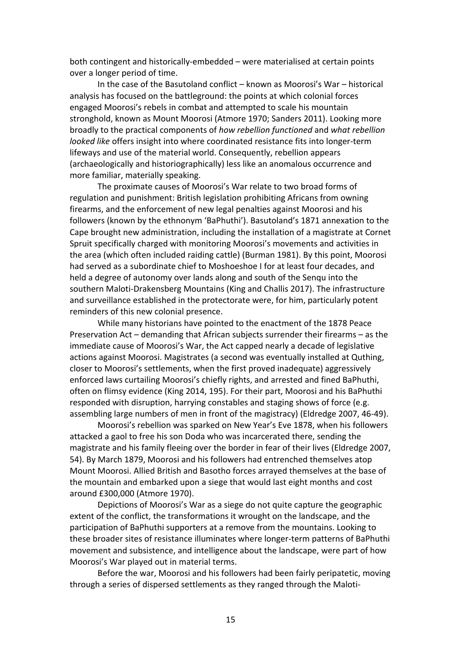both contingent and historically-embedded – were materialised at certain points over a longer period of time.

In the case of the Basutoland conflict – known as Moorosi's War – historical analysis has focused on the battleground: the points at which colonial forces engaged Moorosi's rebels in combat and attempted to scale his mountain stronghold, known as Mount Moorosi (Atmore 1970; Sanders 2011). Looking more broadly to the practical components of *how rebellion functioned* and *what rebellion looked like* offers insight into where coordinated resistance fits into longer-term lifeways and use of the material world. Consequently, rebellion appears (archaeologically and historiographically) less like an anomalous occurrence and more familiar, materially speaking.

The proximate causes of Moorosi's War relate to two broad forms of regulation and punishment: British legislation prohibiting Africans from owning firearms, and the enforcement of new legal penalties against Moorosi and his followers (known by the ethnonym 'BaPhuthi'). Basutoland's 1871 annexation to the Cape brought new administration, including the installation of a magistrate at Cornet Spruit specifically charged with monitoring Moorosi's movements and activities in the area (which often included raiding cattle) (Burman 1981). By this point, Moorosi had served as a subordinate chief to Moshoeshoe I for at least four decades, and held a degree of autonomy over lands along and south of the Senqu into the southern Maloti-Drakensberg Mountains (King and Challis 2017). The infrastructure and surveillance established in the protectorate were, for him, particularly potent reminders of this new colonial presence.

While many historians have pointed to the enactment of the 1878 Peace Preservation Act – demanding that African subjects surrender their firearms – as the immediate cause of Moorosi's War, the Act capped nearly a decade of legislative actions against Moorosi. Magistrates (a second was eventually installed at Quthing, closer to Moorosi's settlements, when the first proved inadequate) aggressively enforced laws curtailing Moorosi's chiefly rights, and arrested and fined BaPhuthi, often on flimsy evidence (King 2014, 195). For their part, Moorosi and his BaPhuthi responded with disruption, harrying constables and staging shows of force (e.g. assembling large numbers of men in front of the magistracy) (Eldredge 2007, 46-49).

Moorosi's rebellion was sparked on New Year's Eve 1878, when his followers attacked a gaol to free his son Doda who was incarcerated there, sending the magistrate and his family fleeing over the border in fear of their lives (Eldredge 2007, 54). By March 1879, Moorosi and his followers had entrenched themselves atop Mount Moorosi. Allied British and Basotho forces arrayed themselves at the base of the mountain and embarked upon a siege that would last eight months and cost around £300,000 (Atmore 1970).

Depictions of Moorosi's War as a siege do not quite capture the geographic extent of the conflict, the transformations it wrought on the landscape, and the participation of BaPhuthi supporters at a remove from the mountains. Looking to these broader sites of resistance illuminates where longer-term patterns of BaPhuthi movement and subsistence, and intelligence about the landscape, were part of how Moorosi's War played out in material terms.

Before the war, Moorosi and his followers had been fairly peripatetic, moving through a series of dispersed settlements as they ranged through the Maloti-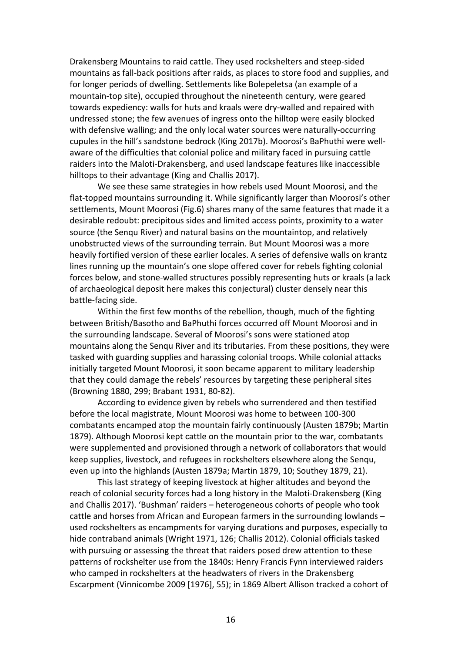Drakensberg Mountains to raid cattle. They used rockshelters and steep-sided mountains as fall-back positions after raids, as places to store food and supplies, and for longer periods of dwelling. Settlements like Bolepeletsa (an example of a mountain-top site), occupied throughout the nineteenth century, were geared towards expediency: walls for huts and kraals were dry-walled and repaired with undressed stone; the few avenues of ingress onto the hilltop were easily blocked with defensive walling; and the only local water sources were naturally-occurring cupules in the hill's sandstone bedrock (King 2017b). Moorosi's BaPhuthi were wellaware of the difficulties that colonial police and military faced in pursuing cattle raiders into the Maloti-Drakensberg, and used landscape features like inaccessible hilltops to their advantage (King and Challis 2017).

We see these same strategies in how rebels used Mount Moorosi, and the flat-topped mountains surrounding it. While significantly larger than Moorosi's other settlements, Mount Moorosi (Fig.6) shares many of the same features that made it a desirable redoubt: precipitous sides and limited access points, proximity to a water source (the Senqu River) and natural basins on the mountaintop, and relatively unobstructed views of the surrounding terrain. But Mount Moorosi was a more heavily fortified version of these earlier locales. A series of defensive walls on krantz lines running up the mountain's one slope offered cover for rebels fighting colonial forces below, and stone-walled structures possibly representing huts or kraals (a lack of archaeological deposit here makes this conjectural) cluster densely near this battle-facing side.

Within the first few months of the rebellion, though, much of the fighting between British/Basotho and BaPhuthi forces occurred off Mount Moorosi and in the surrounding landscape. Several of Moorosi's sons were stationed atop mountains along the Senqu River and its tributaries. From these positions, they were tasked with guarding supplies and harassing colonial troops. While colonial attacks initially targeted Mount Moorosi, it soon became apparent to military leadership that they could damage the rebels' resources by targeting these peripheral sites (Browning 1880, 299; Brabant 1931, 80-82).

According to evidence given by rebels who surrendered and then testified before the local magistrate, Mount Moorosi was home to between 100-300 combatants encamped atop the mountain fairly continuously (Austen 1879b; Martin 1879). Although Moorosi kept cattle on the mountain prior to the war, combatants were supplemented and provisioned through a network of collaborators that would keep supplies, livestock, and refugees in rockshelters elsewhere along the Senqu, even up into the highlands (Austen 1879a; Martin 1879, 10; Southey 1879, 21).

This last strategy of keeping livestock at higher altitudes and beyond the reach of colonial security forces had a long history in the Maloti-Drakensberg (King and Challis 2017). 'Bushman' raiders – heterogeneous cohorts of people who took cattle and horses from African and European farmers in the surrounding lowlands – used rockshelters as encampments for varying durations and purposes, especially to hide contraband animals (Wright 1971, 126; Challis 2012). Colonial officials tasked with pursuing or assessing the threat that raiders posed drew attention to these patterns of rockshelter use from the 1840s: Henry Francis Fynn interviewed raiders who camped in rockshelters at the headwaters of rivers in the Drakensberg Escarpment (Vinnicombe 2009 [1976], 55); in 1869 Albert Allison tracked a cohort of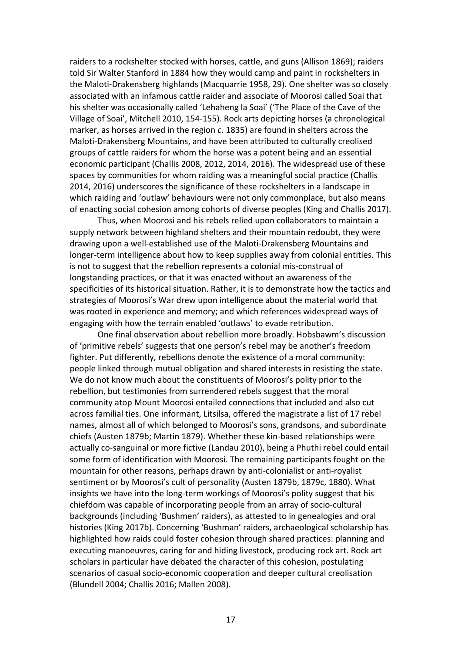raiders to a rockshelter stocked with horses, cattle, and guns (Allison 1869); raiders told Sir Walter Stanford in 1884 how they would camp and paint in rockshelters in the Maloti-Drakensberg highlands (Macquarrie 1958, 29). One shelter was so closely associated with an infamous cattle raider and associate of Moorosi called Soai that his shelter was occasionally called 'Lehaheng la Soai' ('The Place of the Cave of the Village of Soai', Mitchell 2010, 154-155). Rock arts depicting horses (a chronological marker, as horses arrived in the region *c*. 1835) are found in shelters across the Maloti-Drakensberg Mountains, and have been attributed to culturally creolised groups of cattle raiders for whom the horse was a potent being and an essential economic participant (Challis 2008, 2012, 2014, 2016). The widespread use of these spaces by communities for whom raiding was a meaningful social practice (Challis 2014, 2016) underscores the significance of these rockshelters in a landscape in which raiding and 'outlaw' behaviours were not only commonplace, but also means of enacting social cohesion among cohorts of diverse peoples (King and Challis 2017).

Thus, when Moorosi and his rebels relied upon collaborators to maintain a supply network between highland shelters and their mountain redoubt, they were drawing upon a well-established use of the Maloti-Drakensberg Mountains and longer-term intelligence about how to keep supplies away from colonial entities. This is not to suggest that the rebellion represents a colonial mis-construal of longstanding practices, or that it was enacted without an awareness of the specificities of its historical situation. Rather, it is to demonstrate how the tactics and strategies of Moorosi's War drew upon intelligence about the material world that was rooted in experience and memory; and which references widespread ways of engaging with how the terrain enabled 'outlaws' to evade retribution.

One final observation about rebellion more broadly. Hobsbawm's discussion of 'primitive rebels' suggests that one person's rebel may be another's freedom fighter. Put differently, rebellions denote the existence of a moral community: people linked through mutual obligation and shared interests in resisting the state. We do not know much about the constituents of Moorosi's polity prior to the rebellion, but testimonies from surrendered rebels suggest that the moral community atop Mount Moorosi entailed connections that included and also cut across familial ties. One informant, Litsilsa, offered the magistrate a list of 17 rebel names, almost all of which belonged to Moorosi's sons, grandsons, and subordinate chiefs (Austen 1879b; Martin 1879). Whether these kin-based relationships were actually co-sanguinal or more fictive (Landau 2010), being a Phuthi rebel could entail some form of identification with Moorosi. The remaining participants fought on the mountain for other reasons, perhaps drawn by anti-colonialist or anti-royalist sentiment or by Moorosi's cult of personality (Austen 1879b, 1879c, 1880). What insights we have into the long-term workings of Moorosi's polity suggest that his chiefdom was capable of incorporating people from an array of socio-cultural backgrounds (including 'Bushmen' raiders), as attested to in genealogies and oral histories (King 2017b). Concerning 'Bushman' raiders, archaeological scholarship has highlighted how raids could foster cohesion through shared practices: planning and executing manoeuvres, caring for and hiding livestock, producing rock art. Rock art scholars in particular have debated the character of this cohesion, postulating scenarios of casual socio-economic cooperation and deeper cultural creolisation (Blundell 2004; Challis 2016; Mallen 2008).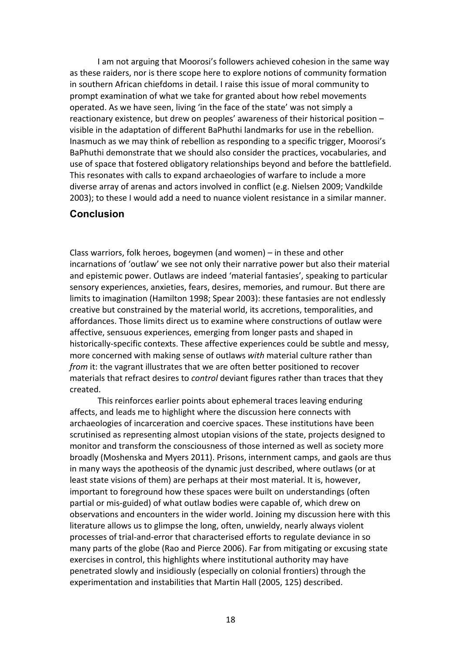I am not arguing that Moorosi's followers achieved cohesion in the same way as these raiders, nor is there scope here to explore notions of community formation in southern African chiefdoms in detail. I raise this issue of moral community to prompt examination of what we take for granted about how rebel movements operated. As we have seen, living 'in the face of the state' was not simply a reactionary existence, but drew on peoples' awareness of their historical position – visible in the adaptation of different BaPhuthi landmarks for use in the rebellion. Inasmuch as we may think of rebellion as responding to a specific trigger, Moorosi's BaPhuthi demonstrate that we should also consider the practices, vocabularies, and use of space that fostered obligatory relationships beyond and before the battlefield. This resonates with calls to expand archaeologies of warfare to include a more diverse array of arenas and actors involved in conflict (e.g. Nielsen 2009; Vandkilde 2003); to these I would add a need to nuance violent resistance in a similar manner.

## **Conclusion**

Class warriors, folk heroes, bogeymen (and women) – in these and other incarnations of 'outlaw' we see not only their narrative power but also their material and epistemic power. Outlaws are indeed 'material fantasies', speaking to particular sensory experiences, anxieties, fears, desires, memories, and rumour. But there are limits to imagination (Hamilton 1998; Spear 2003): these fantasies are not endlessly creative but constrained by the material world, its accretions, temporalities, and affordances. Those limits direct us to examine where constructions of outlaw were affective, sensuous experiences, emerging from longer pasts and shaped in historically-specific contexts. These affective experiences could be subtle and messy, more concerned with making sense of outlaws *with* material culture rather than *from* it: the vagrant illustrates that we are often better positioned to recover materials that refract desires to *control* deviant figures rather than traces that they created.

This reinforces earlier points about ephemeral traces leaving enduring affects, and leads me to highlight where the discussion here connects with archaeologies of incarceration and coercive spaces. These institutions have been scrutinised as representing almost utopian visions of the state, projects designed to monitor and transform the consciousness of those interned as well as society more broadly (Moshenska and Myers 2011). Prisons, internment camps, and gaols are thus in many ways the apotheosis of the dynamic just described, where outlaws (or at least state visions of them) are perhaps at their most material. It is, however, important to foreground how these spaces were built on understandings (often partial or mis-guided) of what outlaw bodies were capable of, which drew on observations and encounters in the wider world. Joining my discussion here with this literature allows us to glimpse the long, often, unwieldy, nearly always violent processes of trial-and-error that characterised efforts to regulate deviance in so many parts of the globe (Rao and Pierce 2006). Far from mitigating or excusing state exercises in control, this highlights where institutional authority may have penetrated slowly and insidiously (especially on colonial frontiers) through the experimentation and instabilities that Martin Hall (2005, 125) described.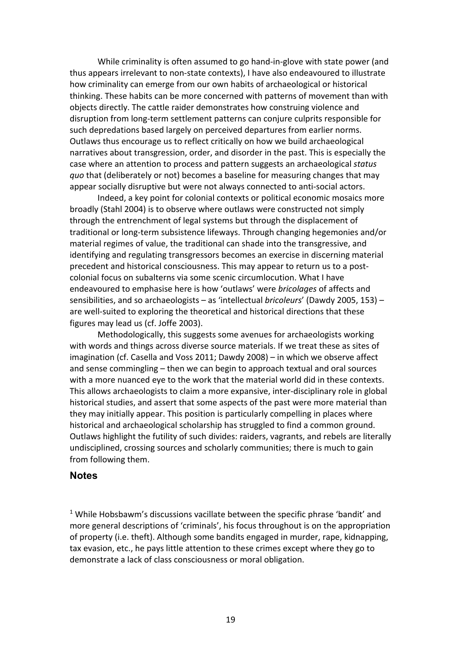While criminality is often assumed to go hand-in-glove with state power (and thus appears irrelevant to non-state contexts), I have also endeavoured to illustrate how criminality can emerge from our own habits of archaeological or historical thinking. These habits can be more concerned with patterns of movement than with objects directly. The cattle raider demonstrates how construing violence and disruption from long-term settlement patterns can conjure culprits responsible for such depredations based largely on perceived departures from earlier norms. Outlaws thus encourage us to reflect critically on how we build archaeological narratives about transgression, order, and disorder in the past. This is especially the case where an attention to process and pattern suggests an archaeological *status quo* that (deliberately or not) becomes a baseline for measuring changes that may appear socially disruptive but were not always connected to anti-social actors.

Indeed, a key point for colonial contexts or political economic mosaics more broadly (Stahl 2004) is to observe where outlaws were constructed not simply through the entrenchment of legal systems but through the displacement of traditional or long-term subsistence lifeways. Through changing hegemonies and/or material regimes of value, the traditional can shade into the transgressive, and identifying and regulating transgressors becomes an exercise in discerning material precedent and historical consciousness. This may appear to return us to a postcolonial focus on subalterns via some scenic circumlocution. What I have endeavoured to emphasise here is how 'outlaws' were *bricolages* of affects and sensibilities, and so archaeologists – as 'intellectual *bricoleurs*' (Dawdy 2005, 153) – are well-suited to exploring the theoretical and historical directions that these figures may lead us (cf. Joffe 2003).

Methodologically, this suggests some avenues for archaeologists working with words and things across diverse source materials. If we treat these as sites of imagination (cf. Casella and Voss 2011; Dawdy 2008) – in which we observe affect and sense commingling – then we can begin to approach textual and oral sources with a more nuanced eye to the work that the material world did in these contexts. This allows archaeologists to claim a more expansive, inter-disciplinary role in global historical studies, and assert that some aspects of the past were more material than they may initially appear. This position is particularly compelling in places where historical and archaeological scholarship has struggled to find a common ground. Outlaws highlight the futility of such divides: raiders, vagrants, and rebels are literally undisciplined, crossing sources and scholarly communities; there is much to gain from following them.

### **Notes**

 $1$  While Hobsbawm's discussions vacillate between the specific phrase 'bandit' and more general descriptions of 'criminals', his focus throughout is on the appropriation of property (i.e. theft). Although some bandits engaged in murder, rape, kidnapping, tax evasion, etc., he pays little attention to these crimes except where they go to demonstrate a lack of class consciousness or moral obligation.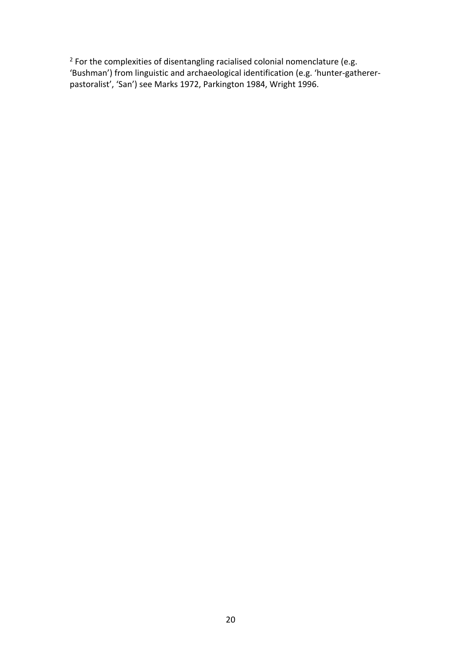$2$  For the complexities of disentangling racialised colonial nomenclature (e.g. 'Bushman') from linguistic and archaeological identification (e.g. 'hunter-gathererpastoralist', 'San') see Marks 1972, Parkington 1984, Wright 1996.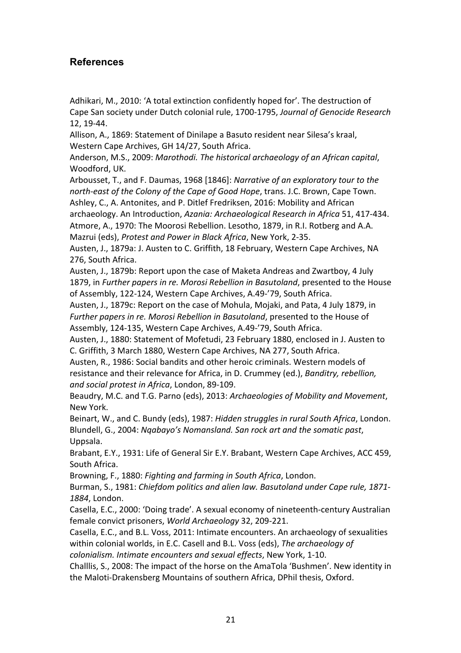## **References**

Adhikari, M., 2010: 'A total extinction confidently hoped for'. The destruction of Cape San society under Dutch colonial rule, 1700-1795, *Journal of Genocide Research* 12, 19-44.

Allison, A., 1869: Statement of Dinilape a Basuto resident near Silesa's kraal, Western Cape Archives, GH 14/27, South Africa.

Anderson, M.S., 2009: *Marothodi. The historical archaeology of an African capital*, Woodford, UK.

Arbousset, T., and F. Daumas, 1968 [1846]: *Narrative of an exploratory tour to the north-east of the Colony of the Cape of Good Hope*, trans. J.C. Brown, Cape Town. Ashley, C., A. Antonites, and P. Ditlef Fredriksen, 2016: Mobility and African archaeology. An Introduction, *Azania: Archaeological Research in Africa* 51, 417-434.

Atmore, A., 1970: The Moorosi Rebellion. Lesotho, 1879, in R.I. Rotberg and A.A. Mazrui (eds), *Protest and Power in Black Africa*, New York, 2-35.

Austen, J., 1879a: J. Austen to C. Griffith, 18 February, Western Cape Archives, NA 276, South Africa.

Austen, J., 1879b: Report upon the case of Maketa Andreas and Zwartboy, 4 July 1879, in *Further papers in re. Morosi Rebellion in Basutoland*, presented to the House of Assembly, 122-124, Western Cape Archives, A.49-'79, South Africa.

Austen, J., 1879c: Report on the case of Mohula, Mojaki, and Pata, 4 July 1879, in *Further papers in re. Morosi Rebellion in Basutoland*, presented to the House of Assembly, 124-135, Western Cape Archives, A.49-'79, South Africa.

Austen, J., 1880: Statement of Mofetudi, 23 February 1880, enclosed in J. Austen to C. Griffith, 3 March 1880, Western Cape Archives, NA 277, South Africa.

Austen, R., 1986: Social bandits and other heroic criminals. Western models of resistance and their relevance for Africa, in D. Crummey (ed.), *Banditry, rebellion, and social protest in Africa*, London, 89-109.

Beaudry, M.C. and T.G. Parno (eds), 2013: *Archaeologies of Mobility and Movement*, New York.

Beinart, W., and C. Bundy (eds), 1987: *Hidden struggles in rural South Africa*, London. Blundell, G., 2004: *Nqabayo's Nomansland. San rock art and the somatic past*, Uppsala.

Brabant, E.Y., 1931: Life of General Sir E.Y. Brabant, Western Cape Archives, ACC 459, South Africa.

Browning, F., 1880: *Fighting and farming in South Africa*, London.

Burman, S., 1981: *Chiefdom politics and alien law. Basutoland under Cape rule, 1871- 1884*, London.

Casella, E.C., 2000: 'Doing trade'. A sexual economy of nineteenth-century Australian female convict prisoners, *World Archaeology* 32, 209-221.

Casella, E.C., and B.L. Voss, 2011: Intimate encounters. An archaeology of sexualities within colonial worlds, in E.C. Casell and B.L. Voss (eds), *The archaeology of colonialism. Intimate encounters and sexual effects*, New York, 1-10.

Challlis, S., 2008: The impact of the horse on the AmaTola 'Bushmen'. New identity in the Maloti-Drakensberg Mountains of southern Africa, DPhil thesis, Oxford.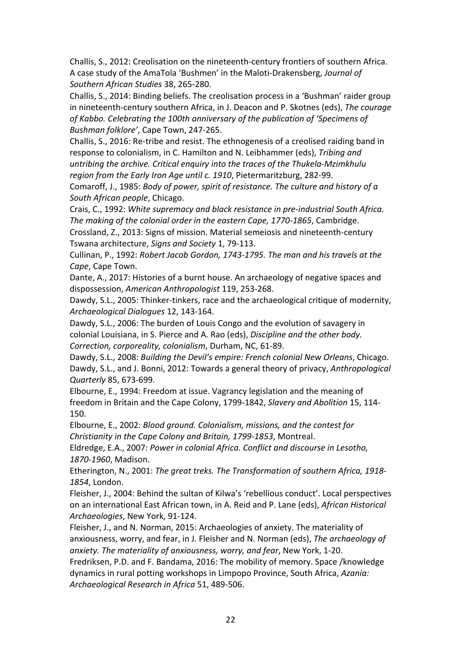Challis, S., 2012: Creolisation on the nineteenth-century frontiers of southern Africa. A case study of the AmaTola 'Bushmen' in the Maloti-Drakensberg, *Journal of Southern African Studies* 38, 265-280.

Challis, S., 2014: Binding beliefs. The creolisation process in a 'Bushman' raider group in nineteenth-century southern Africa, in J. Deacon and P. Skotnes (eds), *The courage of Kabbo. Celebrating the 100th anniversary of the publication of 'Specimens of Bushman folklore'*, Cape Town, 247-265.

Challis, S., 2016: Re-tribe and resist. The ethnogenesis of a creolised raiding band in response to colonialism, in C. Hamilton and N. Leibhammer (eds), *Tribing and untribing the archive. Critical enquiry into the traces of the Thukela-Mzimkhulu region from the Early Iron Age until c. 1910*, Pietermaritzburg, 282-99.

Comaroff, J., 1985: *Body of power, spirit of resistance. The culture and history of a South African people*, Chicago.

Crais, C., 1992: *White supremacy and black resistance in pre-industrial South Africa. The making of the colonial order in the eastern Cape, 1770-1865*, Cambridge.

Crossland, Z., 2013: Signs of mission. Material semeiosis and nineteenth-century Tswana architecture, *Signs and Society* 1, 79-113.

Cullinan, P., 1992: *Robert Jacob Gordon, 1743-1795. The man and his travels at the Cape*, Cape Town.

Dante, A., 2017: Histories of a burnt house. An archaeology of negative spaces and dispossession, *American Anthropologist* 119, 253-268.

Dawdy, S.L., 2005: Thinker-tinkers, race and the archaeological critique of modernity, *Archaeological Dialogues* 12, 143-164.

Dawdy, S.L., 2006: The burden of Louis Congo and the evolution of savagery in colonial Louisiana, in S. Pierce and A. Rao (eds), *Discipline and the other body. Correction, corporeality, colonialism*, Durham, NC, 61-89.

Dawdy, S.L., 2008: *Building the Devil's empire: French colonial New Orleans*, Chicago. Dawdy, S.L., and J. Bonni, 2012: Towards a general theory of privacy, *Anthropological Quarterly* 85, 673-699.

Elbourne, E., 1994: Freedom at issue. Vagrancy legislation and the meaning of freedom in Britain and the Cape Colony, 1799-1842, *Slavery and Abolition* 15, 114- 150.

Elbourne, E., 2002: *Blood ground. Colonialism, missions, and the contest for Christianity in the Cape Colony and Britain, 1799-1853*, Montreal.

Eldredge, E.A., 2007: *Power in colonial Africa. Conflict and discourse in Lesotho, 1870-1960*, Madison.

Etherington, N., 2001: *The great treks. The Transformation of southern Africa, 1918- 1854*, London.

Fleisher, J., 2004: Behind the sultan of Kilwa's 'rebellious conduct'. Local perspectives on an international East African town, in A. Reid and P. Lane (eds), *African Historical Archaeologies*, New York, 91-124.

Fleisher, J., and N. Norman, 2015: Archaeologies of anxiety. The materiality of anxiousness, worry, and fear, in J. Fleisher and N. Norman (eds), *The archaeology of anxiety. The materiality of anxiousness, worry, and fear*, New York, 1-20.

Fredriksen, P.D. and F. Bandama, 2016: The mobility of memory. Space /knowledge dynamics in rural potting workshops in Limpopo Province, South Africa, *Azania: Archaeological Research in Africa* 51, 489-506.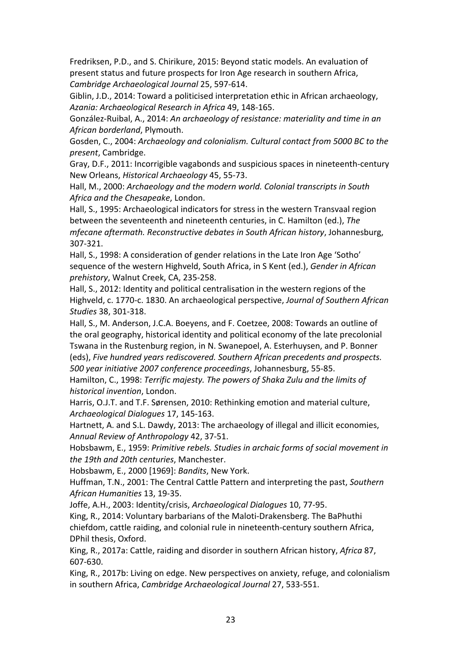Fredriksen, P.D., and S. Chirikure, 2015: Beyond static models. An evaluation of present status and future prospects for Iron Age research in southern Africa, *Cambridge Archaeological Journal* 25, 597-614.

Giblin, J.D., 2014: Toward a politicised interpretation ethic in African archaeology, *Azania: Archaeological Research in Africa* 49, 148-165.

González-Ruibal, A., 2014: *An archaeology of resistance: materiality and time in an African borderland*, Plymouth.

Gosden, C., 2004: *Archaeology and colonialism. Cultural contact from 5000 BC to the present*, Cambridge.

Gray, D.F., 2011: Incorrigible vagabonds and suspicious spaces in nineteenth-century New Orleans, *Historical Archaeology* 45, 55-73.

Hall, M., 2000: *Archaeology and the modern world. Colonial transcripts in South Africa and the Chesapeake*, London.

Hall, S., 1995: Archaeological indicators for stress in the western Transvaal region between the seventeenth and nineteenth centuries, in C. Hamilton (ed.), *The mfecane aftermath. Reconstructive debates in South African history*, Johannesburg, 307-321.

Hall, S., 1998: A consideration of gender relations in the Late Iron Age 'Sotho' sequence of the western Highveld, South Africa, in S Kent (ed.), *Gender in African prehistory*, Walnut Creek, CA, 235-258.

Hall, S., 2012: Identity and political centralisation in the western regions of the Highveld, c. 1770-c. 1830. An archaeological perspective, *Journal of Southern African Studies* 38, 301-318.

Hall, S., M. Anderson, J.C.A. Boeyens, and F. Coetzee, 2008: Towards an outline of the oral geography, historical identity and political economy of the late precolonial Tswana in the Rustenburg region, in N. Swanepoel, A. Esterhuysen, and P. Bonner (eds), *Five hundred years rediscovered. Southern African precedents and prospects. 500 year initiative 2007 conference proceedings*, Johannesburg, 55-85.

Hamilton, C., 1998: *Terrific majesty. The powers of Shaka Zulu and the limits of historical invention*, London.

Harris, O.J.T. and T.F. Sørensen, 2010: Rethinking emotion and material culture, *Archaeological Dialogues* 17, 145-163.

Hartnett, A. and S.L. Dawdy, 2013: The archaeology of illegal and illicit economies, *Annual Review of Anthropology* 42, 37-51.

Hobsbawm, E., 1959: *Primitive rebels. Studies in archaic forms of social movement in the 19th and 20th centuries*, Manchester.

Hobsbawm, E., 2000 [1969]: *Bandits*, New York.

Huffman, T.N., 2001: The Central Cattle Pattern and interpreting the past, *Southern African Humanities* 13, 19-35.

Joffe, A.H., 2003: Identity/crisis, *Archaeological Dialogues* 10, 77-95.

King, R., 2014: Voluntary barbarians of the Maloti-Drakensberg. The BaPhuthi chiefdom, cattle raiding, and colonial rule in nineteenth-century southern Africa, DPhil thesis, Oxford.

King, R., 2017a: Cattle, raiding and disorder in southern African history, *Africa* 87, 607-630.

King, R., 2017b: Living on edge. New perspectives on anxiety, refuge, and colonialism in southern Africa, *Cambridge Archaeological Journal* 27, 533-551.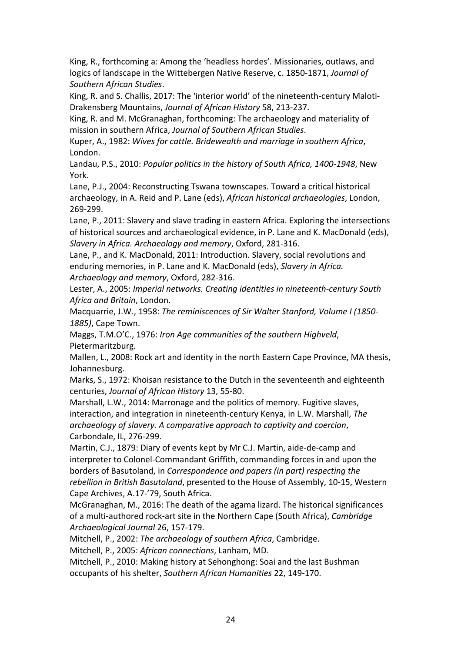King, R., forthcoming a: Among the 'headless hordes'. Missionaries, outlaws, and logics of landscape in the Wittebergen Native Reserve, c. 1850-1871, *Journal of Southern African Studies*.

King, R. and S. Challis, 2017: The 'interior world' of the nineteenth-century Maloti-Drakensberg Mountains, *Journal of African History* 58, 213-237.

King, R. and M. McGranaghan, forthcoming: The archaeology and materiality of mission in southern Africa, *Journal of Southern African Studies*.

Kuper, A., 1982: *Wives for cattle. Bridewealth and marriage in southern Africa*, London.

Landau, P.S., 2010: *Popular politics in the history of South Africa, 1400-1948*, New York.

Lane, P.J., 2004: Reconstructing Tswana townscapes. Toward a critical historical archaeology, in A. Reid and P. Lane (eds), *African historical archaeologies*, London, 269-299.

Lane, P., 2011: Slavery and slave trading in eastern Africa. Exploring the intersections of historical sources and archaeological evidence, in P. Lane and K. MacDonald (eds), *Slavery in Africa. Archaeology and memory*, Oxford, 281-316.

Lane, P., and K. MacDonald, 2011: Introduction. Slavery, social revolutions and enduring memories, in P. Lane and K. MacDonald (eds), *Slavery in Africa.* 

*Archaeology and memory*, Oxford, 282-316.

Lester, A., 2005: *Imperial networks. Creating identities in nineteenth-century South Africa and Britain*, London.

Macquarrie, J.W., 1958: *The reminiscences of Sir Walter Stanford, Volume I (1850- 1885)*, Cape Town.

Maggs, T.M.O'C., 1976: *Iron Age communities of the southern Highveld*, Pietermaritzburg.

Mallen, L., 2008: Rock art and identity in the north Eastern Cape Province, MA thesis, Johannesburg.

Marks, S., 1972: Khoisan resistance to the Dutch in the seventeenth and eighteenth centuries, *Journal of African History* 13, 55-80.

Marshall, L.W., 2014: Marronage and the politics of memory. Fugitive slaves, interaction, and integration in nineteenth-century Kenya, in L.W. Marshall, *The archaeology of slavery. A comparative approach to captivity and coercion*, Carbondale, IL, 276-299.

Martin, C.J., 1879: Diary of events kept by Mr C.J. Martin, aide-de-camp and interpreter to Colonel-Commandant Griffith, commanding forces in and upon the borders of Basutoland, in *Correspondence and papers (in part) respecting the rebellion in British Basutoland*, presented to the House of Assembly, 10-15, Western Cape Archives, A.17-'79, South Africa.

McGranaghan, M., 2016: The death of the agama lizard. The historical significances of a multi-authored rock-art site in the Northern Cape (South Africa), *Cambridge Archaeological Journal* 26, 157-179.

Mitchell, P., 2002: *The archaeology of southern Africa*, Cambridge.

Mitchell, P., 2005: *African connections*, Lanham, MD.

Mitchell, P., 2010: Making history at Sehonghong: Soai and the last Bushman occupants of his shelter, *Southern African Humanities* 22, 149-170.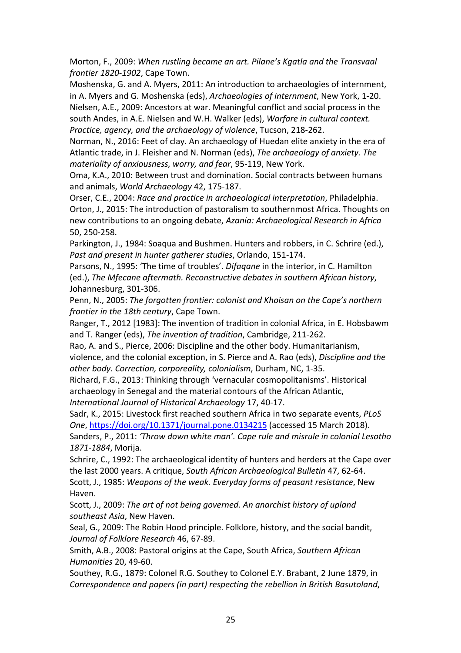Morton, F., 2009: *When rustling became an art. Pilane's Kgatla and the Transvaal frontier 1820-1902*, Cape Town.

Moshenska, G. and A. Myers, 2011: An introduction to archaeologies of internment, in A. Myers and G. Moshenska (eds), *Archaeologies of internment*, New York, 1-20. Nielsen, A.E., 2009: Ancestors at war. Meaningful conflict and social process in the south Andes, in A.E. Nielsen and W.H. Walker (eds), *Warfare in cultural context. Practice, agency, and the archaeology of violence*, Tucson, 218-262.

Norman, N., 2016: Feet of clay. An archaeology of Huedan elite anxiety in the era of Atlantic trade, in J. Fleisher and N. Norman (eds), *The archaeology of anxiety. The materiality of anxiousness, worry, and fear*, 95-119, New York.

Oma, K.A., 2010: Between trust and domination. Social contracts between humans and animals, *World Archaeology* 42, 175-187.

Orser, C.E., 2004: *Race and practice in archaeological interpretation*, Philadelphia. Orton, J., 2015: The introduction of pastoralism to southernmost Africa. Thoughts on new contributions to an ongoing debate, *Azania: Archaeological Research in Africa* 50, 250-258.

Parkington, J., 1984: Soaqua and Bushmen. Hunters and robbers, in C. Schrire (ed.), *Past and present in hunter gatherer studies*, Orlando, 151-174.

Parsons, N., 1995: 'The time of troubles'. *Difaqane* in the interior, in C. Hamilton (ed.), *The Mfecane aftermath. Reconstructive debates in southern African history*, Johannesburg, 301-306.

Penn, N., 2005: *The forgotten frontier: colonist and Khoisan on the Cape's northern frontier in the 18th century*, Cape Town.

Ranger, T., 2012 [1983]: The invention of tradition in colonial Africa, in E. Hobsbawm and T. Ranger (eds), *The invention of tradition*, Cambridge, 211-262.

Rao, A. and S., Pierce, 2006: Discipline and the other body. Humanitarianism, violence, and the colonial exception, in S. Pierce and A. Rao (eds), *Discipline and the other body. Correction, corporeality, colonialism*, Durham, NC, 1-35.

Richard, F.G., 2013: Thinking through 'vernacular cosmopolitanisms'. Historical archaeology in Senegal and the material contours of the African Atlantic, *International Journal of Historical Archaeology* 17, 40-17.

Sadr, K., 2015: Livestock first reached southern Africa in two separate events, *PLoS One*, https://doi.org/10.1371/journal.pone.0134215 (accessed 15 March 2018). Sanders, P., 2011: *'Throw down white man'. Cape rule and misrule in colonial Lesotho 1871-1884*, Morija.

Schrire, C., 1992: The archaeological identity of hunters and herders at the Cape over the last 2000 years. A critique, *South African Archaeological Bulletin* 47, 62-64. Scott, J., 1985: *Weapons of the weak. Everyday forms of peasant resistance*, New Haven.

Scott, J., 2009: *The art of not being governed. An anarchist history of upland southeast Asia*, New Haven.

Seal, G., 2009: The Robin Hood principle. Folklore, history, and the social bandit, *Journal of Folklore Research* 46, 67-89.

Smith, A.B., 2008: Pastoral origins at the Cape, South Africa, *Southern African Humanities* 20, 49-60.

Southey, R.G., 1879: Colonel R.G. Southey to Colonel E.Y. Brabant, 2 June 1879, in *Correspondence and papers (in part) respecting the rebellion in British Basutoland*,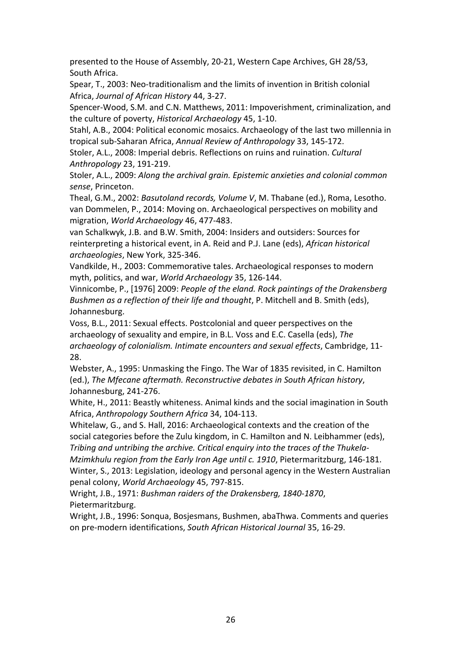presented to the House of Assembly, 20-21, Western Cape Archives, GH 28/53, South Africa.

Spear, T., 2003: Neo-traditionalism and the limits of invention in British colonial Africa, *Journal of African History* 44, 3-27.

Spencer-Wood, S.M. and C.N. Matthews, 2011: Impoverishment, criminalization, and the culture of poverty, *Historical Archaeology* 45, 1-10.

Stahl, A.B., 2004: Political economic mosaics. Archaeology of the last two millennia in tropical sub-Saharan Africa, *Annual Review of Anthropology* 33, 145-172.

Stoler, A.L., 2008: Imperial debris. Reflections on ruins and ruination. *Cultural Anthropology* 23, 191-219.

Stoler, A.L., 2009: *Along the archival grain. Epistemic anxieties and colonial common sense*, Princeton.

Theal, G.M., 2002: *Basutoland records, Volume V*, M. Thabane (ed.), Roma, Lesotho. van Dommelen, P., 2014: Moving on. Archaeological perspectives on mobility and migration, *World Archaeology* 46, 477-483.

van Schalkwyk, J.B. and B.W. Smith, 2004: Insiders and outsiders: Sources for reinterpreting a historical event, in A. Reid and P.J. Lane (eds), *African historical archaeologies*, New York, 325-346.

Vandkilde, H., 2003: Commemorative tales. Archaeological responses to modern myth, politics, and war, *World Archaeology* 35, 126-144.

Vinnicombe, P., [1976] 2009: *People of the eland. Rock paintings of the Drakensberg Bushmen as a reflection of their life and thought*, P. Mitchell and B. Smith (eds), Johannesburg.

Voss, B.L., 2011: Sexual effects. Postcolonial and queer perspectives on the archaeology of sexuality and empire, in B.L. Voss and E.C. Casella (eds), *The archaeology of colonialism. Intimate encounters and sexual effects*, Cambridge, 11- 28.

Webster, A., 1995: Unmasking the Fingo. The War of 1835 revisited, in C. Hamilton (ed.), *The Mfecane aftermath. Reconstructive debates in South African history*, Johannesburg, 241-276.

White, H., 2011: Beastly whiteness. Animal kinds and the social imagination in South Africa, *Anthropology Southern Africa* 34, 104-113.

Whitelaw, G., and S. Hall, 2016: Archaeological contexts and the creation of the social categories before the Zulu kingdom, in C. Hamilton and N. Leibhammer (eds), *Tribing and untribing the archive. Critical enquiry into the traces of the Thukela-Mzimkhulu region from the Early Iron Age until c. 1910*, Pietermaritzburg, 146-181. Winter, S., 2013: Legislation, ideology and personal agency in the Western Australian penal colony, *World Archaeology* 45, 797-815.

Wright, J.B., 1971: *Bushman raiders of the Drakensberg, 1840-1870*, Pietermaritzburg.

Wright, J.B., 1996: Sonqua, Bosjesmans, Bushmen, abaThwa. Comments and queries on pre-modern identifications, *South African Historical Journal* 35, 16-29.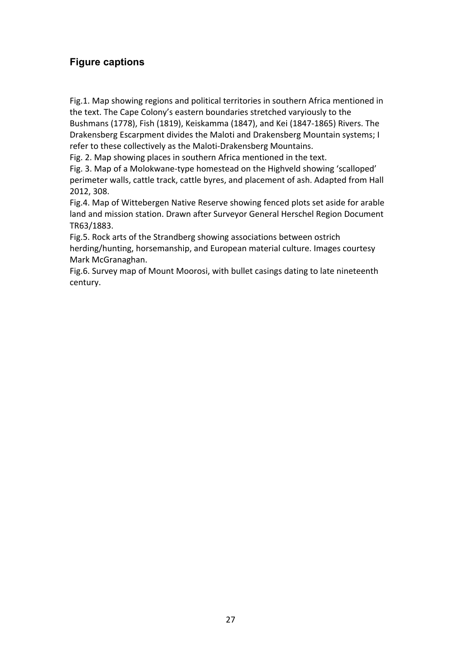# **Figure captions**

Fig.1. Map showing regions and political territories in southern Africa mentioned in the text. The Cape Colony's eastern boundaries stretched varyiously to the Bushmans (1778), Fish (1819), Keiskamma (1847), and Kei (1847-1865) Rivers. The Drakensberg Escarpment divides the Maloti and Drakensberg Mountain systems; I refer to these collectively as the Maloti-Drakensberg Mountains.

Fig. 2. Map showing places in southern Africa mentioned in the text.

Fig. 3. Map of a Molokwane-type homestead on the Highveld showing 'scalloped' perimeter walls, cattle track, cattle byres, and placement of ash. Adapted from Hall 2012, 308.

Fig.4. Map of Wittebergen Native Reserve showing fenced plots set aside for arable land and mission station. Drawn after Surveyor General Herschel Region Document TR63/1883.

Fig.5. Rock arts of the Strandberg showing associations between ostrich herding/hunting, horsemanship, and European material culture. Images courtesy Mark McGranaghan.

Fig.6. Survey map of Mount Moorosi, with bullet casings dating to late nineteenth century.